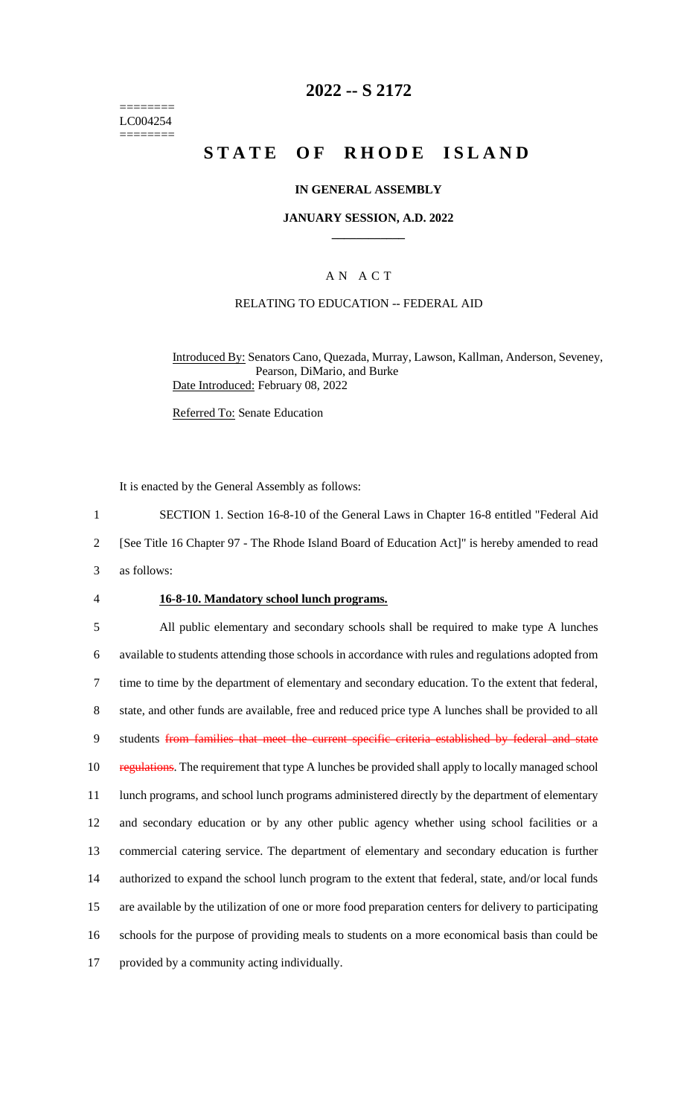======== LC004254 ========

## **2022 -- S 2172**

# **STATE OF RHODE ISLAND**

### **IN GENERAL ASSEMBLY**

### **JANUARY SESSION, A.D. 2022 \_\_\_\_\_\_\_\_\_\_\_\_**

## A N A C T

#### RELATING TO EDUCATION -- FEDERAL AID

Introduced By: Senators Cano, Quezada, Murray, Lawson, Kallman, Anderson, Seveney, Pearson, DiMario, and Burke Date Introduced: February 08, 2022

Referred To: Senate Education

It is enacted by the General Assembly as follows:

1 SECTION 1. Section 16-8-10 of the General Laws in Chapter 16-8 entitled "Federal Aid

2 [See Title 16 Chapter 97 - The Rhode Island Board of Education Act]" is hereby amended to read

3 as follows:

### 4 **16-8-10. Mandatory school lunch programs.**

 All public elementary and secondary schools shall be required to make type A lunches available to students attending those schools in accordance with rules and regulations adopted from time to time by the department of elementary and secondary education. To the extent that federal, state, and other funds are available, free and reduced price type A lunches shall be provided to all 9 students from families that meet the current specific criteria established by federal and state 10 regulations. The requirement that type A lunches be provided shall apply to locally managed school lunch programs, and school lunch programs administered directly by the department of elementary and secondary education or by any other public agency whether using school facilities or a commercial catering service. The department of elementary and secondary education is further authorized to expand the school lunch program to the extent that federal, state, and/or local funds are available by the utilization of one or more food preparation centers for delivery to participating schools for the purpose of providing meals to students on a more economical basis than could be provided by a community acting individually.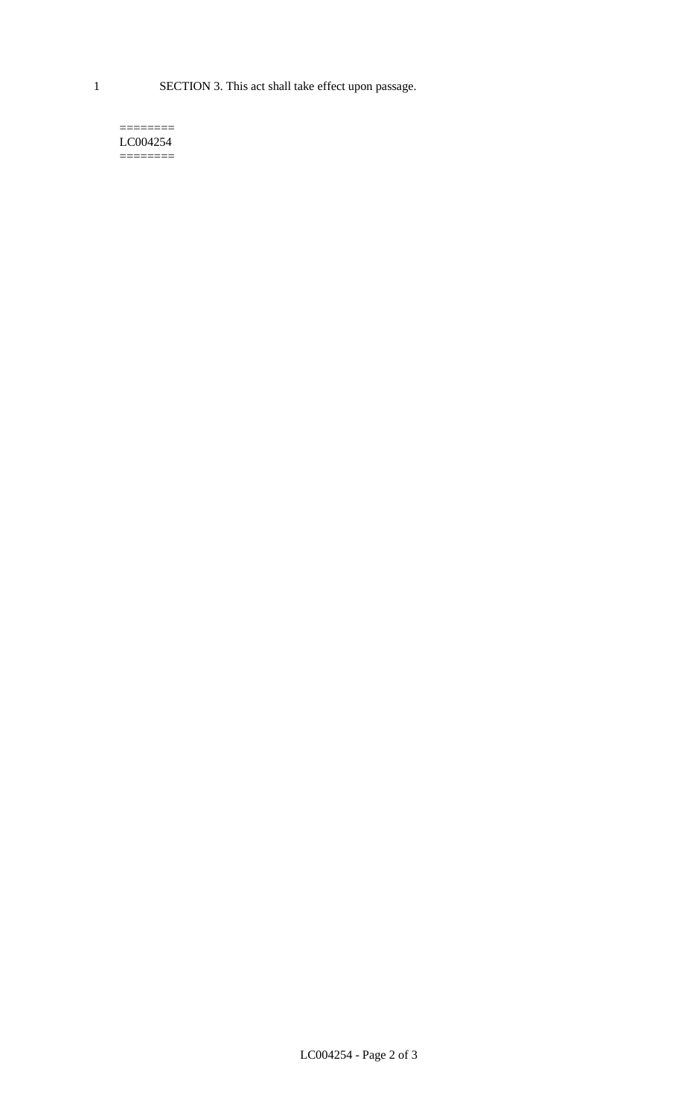1 SECTION 3. This act shall take effect upon passage.

#### $=$ LC004254  $=$